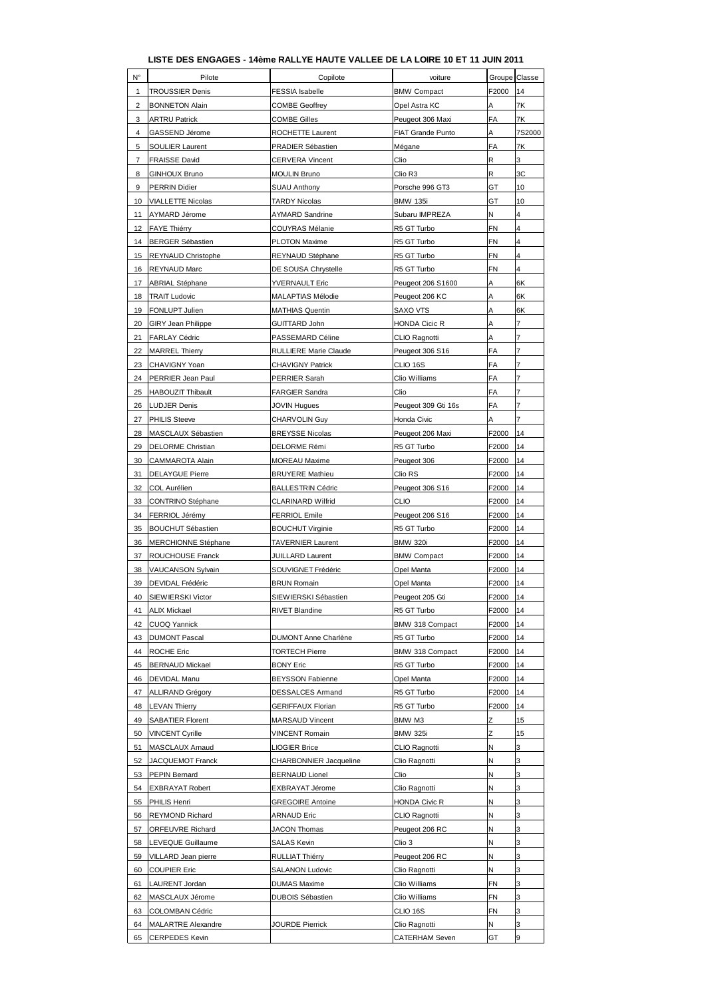## **LISTE DES ENGAGES - 14ème RALLYE HAUTE VALLEE DE LA LOIRE 10 ET 11 JUIN 2011**

| N°                      | Pilote                     | Copilote                    | voiture               | Groupe Classe |                         |
|-------------------------|----------------------------|-----------------------------|-----------------------|---------------|-------------------------|
| 1                       | <b>TROUSSIER Denis</b>     | <b>FESSIA</b> Isabelle      | <b>BMW Compact</b>    | F2000         | 14                      |
| $\overline{\mathbf{c}}$ | <b>BONNETON Alain</b>      | <b>COMBE Geoffrey</b>       | Opel Astra KC         | A             | 7K                      |
| 3                       | <b>ARTRU Patrick</b>       | <b>COMBE Gilles</b>         | Peugeot 306 Maxi      | FA            | 7K                      |
| 4                       | GASSEND Jérome             | ROCHETTE Laurent            | FIAT Grande Punto     | А             | 7S2000                  |
| 5                       | SOULIER Laurent            | PRADIER Sébastien           | Mégane                | FA            | 7Κ                      |
| 7                       | <b>FRAISSE David</b>       | <b>CERVERA Vincent</b>      | Clio                  | R             | 3                       |
| 8                       | <b>GINHOUX Bruno</b>       | <b>MOULIN Bruno</b>         | Clio R3               | R             | ЗC                      |
| 9                       | <b>PERRIN Didier</b>       | <b>SUAU Anthony</b>         | Porsche 996 GT3       | GT            | 10                      |
| 10                      | <b>VIALLETTE Nicolas</b>   | <b>TARDY Nicolas</b>        | <b>BMW 135i</b>       | GT            | 10                      |
| 11                      | AYMARD Jérome              | <b>AYMARD Sandrine</b>      | Subaru IMPREZA        | Ν             | 4                       |
| 12                      | <b>FAYE Thiérry</b>        | COUYRAS Mélanie             | R5 GT Turbo           | <b>FN</b>     | 4                       |
| 14                      | <b>BERGER Sébastien</b>    | PLOTON Maxime               | R5 GT Turbo           | <b>FN</b>     | $\overline{\mathbf{4}}$ |
| 15                      | <b>REYNAUD Christophe</b>  | REYNAUD Stéphane            | R5 GT Turbo           | <b>FN</b>     | 4                       |
| 16                      | <b>REYNAUD Marc</b>        | DE SOUSA Chrystelle         | R5 GT Turbo           | FN            | 4                       |
| 17                      | <b>ABRIAL Stéphane</b>     | <b>YVERNAULT Eric</b>       | Peugeot 206 S1600     | A             | 6K                      |
| 18                      | <b>TRAIT Ludovic</b>       | MALAPTIAS Mélodie           | Peugeot 206 KC        | Α             | 6K                      |
| 19                      | <b>FONLUPT Julien</b>      | MATHIAS Quentin             | <b>SAXO VTS</b>       | Α             | 6K                      |
| 20                      | <b>GIRY Jean Philippe</b>  | <b>GUITTARD John</b>        | HONDA Cicic R         | A             | 7                       |
| 21                      | FARLAY Cédric              | PASSEMARD Céline            | CLIO Ragnotti         | Α             | 7                       |
| 22                      | <b>MARREL Thierry</b>      | RULLIERE Marie Claude       | Peugeot 306 S16       | FA            | $\overline{7}$          |
| 23                      | CHAVIGNY Yoan              | <b>CHAVIGNY Patrick</b>     | CLIO 16S              | FA            | $\overline{7}$          |
| 24                      | PERRIER Jean Paul          | PERRIER Sarah               | Clio Williams         | FA            | 7                       |
| 25                      | <b>HABOUZIT Thibault</b>   | <b>FARGIER Sandra</b>       | Clio                  | FA            | 7                       |
| 26                      | <b>LUDJER Denis</b>        | <b>JOVIN Hugues</b>         | Peugeot 309 Gti 16s   | FA            | 7                       |
| 27                      | <b>PHILIS Steeve</b>       | CHARVOLIN Guy               | Honda Civic           | Α             | $\overline{7}$          |
| 28                      | MASCLAUX Sébastien         | <b>BREYSSE Nicolas</b>      | Peugeot 206 Maxi      | F2000         | 14                      |
| 29                      | <b>DELORME Christian</b>   | DELORME Rémi                | R5 GT Turbo           | F2000         | 14                      |
| 30                      | CAMMAROTA Alain            | MOREAU Maxime               | Peugeot 306           | F2000         | 14                      |
| 31                      | <b>DELAYGUE Pierre</b>     | <b>BRUYERE Mathieu</b>      | Clio RS               | F2000         | 14                      |
| 32                      | COL Aurélien               | <b>BALLESTRIN Cédric</b>    | Peugeot 306 S16       | F2000         | 14                      |
| 33                      | <b>CONTRINO Stéphane</b>   | CLARINARD Wilfrid           | CLIO                  | F2000         | 14                      |
| 34                      | FERRIOL Jérémy             | <b>FERRIOL Emile</b>        | Peugeot 206 S16       | F2000         | 14                      |
| 35                      | <b>BOUCHUT Sébastien</b>   | <b>BOUCHUT Virginie</b>     | R5 GT Turbo           | F2000         | 14                      |
| 36                      | <b>MERCHIONNE Stéphane</b> | <b>TAVERNIER Laurent</b>    | <b>BMW 320i</b>       | F2000         | 14                      |
| 37                      | ROUCHOUSE Franck           | <b>JUILLARD Laurent</b>     | <b>BMW Compact</b>    | F2000         | 14                      |
| 38                      | <b>VAUCANSON Sylvain</b>   | SOUVIGNET Frédéric          | Opel Manta            | F2000         | 14                      |
| 39                      | <b>DEVIDAL Frédéric</b>    | <b>BRUN Romain</b>          | Opel Manta            | F2000         | 14                      |
| 40                      | SIEWIERSKI Victor          | SIEWIERSKI Sébastien        | Peugeot 205 Gti       | F2000         | 14                      |
| 41                      | <b>ALIX Mickael</b>        | <b>RIVET Blandine</b>       | R5 GT Turbo           | F2000         | 14                      |
| 42                      | <b>CUOQ Yannick</b>        |                             | BMW 318 Compact       | F2000         | 14                      |
| 43                      | <b>DUMONT Pascal</b>       | <b>DUMONT Anne Charlène</b> | R5 GT Turbo           | F2000         | 14                      |
| 44                      | <b>ROCHE Eric</b>          | <b>TORTECH Pierre</b>       | BMW 318 Compact       | F2000         | 14                      |
| 45                      | <b>BERNAUD Mickael</b>     | <b>BONY Eric</b>            | R5 GT Turbo           | F2000         | 14                      |
| 46                      | DEVIDAL Manu               | <b>BEYSSON Fabienne</b>     | Opel Manta            | F2000         | 14                      |
| 47                      | <b>ALLIRAND Grégory</b>    | <b>DESSALCES Armand</b>     | R5 GT Turbo           | F2000         | 14                      |
| 48                      | <b>LEVAN Thierry</b>       | <b>GERIFFAUX Florian</b>    | R5 GT Turbo           | F2000         | 14                      |
| 49                      | <b>SABATIER Florent</b>    | MARSAUD Vincent             | BMW M3                | Z             | 15                      |
| 50                      | <b>VINCENT Cyrille</b>     | <b>VINCENT Romain</b>       | <b>BMW 325i</b>       | Z             | 15                      |
| 51                      | MASCLAUX Arnaud            | <b>LIOGIER Brice</b>        | CLIO Ragnotti         | Ν             | 3                       |
| 52                      | JACQUEMOT Franck           | CHARBONNIER Jacqueline      | Clio Ragnotti         | N             | 3                       |
| 53                      | <b>PEPIN Bernard</b>       | <b>BERNAUD Lionel</b>       | Clio                  | Ν             | 3                       |
| 54                      | <b>EXBRAYAT Robert</b>     | EXBRAYAT Jérome             | Clio Ragnotti         | Ν             | 3                       |
| 55                      | <b>PHILIS Henri</b>        | <b>GREGOIRE Antoine</b>     | <b>HONDA Civic R</b>  | N             | 3                       |
| 56                      | <b>REYMOND Richard</b>     | ARNAUD Eric                 | CLIO Ragnotti         | Ν             | 3                       |
| 57                      | ORFEUVRE Richard           | JACON Thomas                | Peugeot 206 RC        | Ν             | 3                       |
| 58                      | LEVEQUE Guillaume          | <b>SALAS Kevin</b>          | Clio 3                | N             | 3                       |
| 59                      | VILLARD Jean pierre        | RULLIAT Thiérry             | Peugeot 206 RC        | Ν             | 3                       |
| 60                      | <b>COUPIER Eric</b>        | SALANON Ludovic             | Clio Ragnotti         | N             | 3                       |
| 61                      | LAURENT Jordan             | <b>DUMAS Maxime</b>         | Clio Williams         | FN            | 3                       |
| 62                      | MASCLAUX Jérome            | <b>DUBOIS Sébastien</b>     | Clio Williams         | FN            | 3                       |
| 63                      | COLOMBAN Cédric            |                             | CLIO 16S              | FN            | 3                       |
| 64                      | <b>MALARTRE Alexandre</b>  | JOURDE Pierrick             | Clio Ragnotti         | Ν             | 3                       |
| 65                      | <b>CERPEDES Kevin</b>      |                             | <b>CATERHAM Seven</b> | GT            | 9                       |